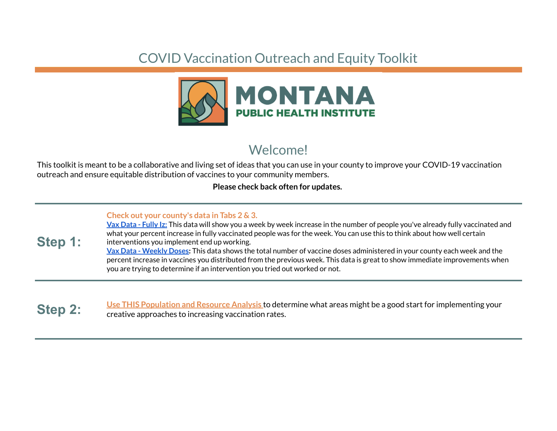## COVID Vaccination Outreach and Equity Toolkit



## Welcome!

This toolkit is meant to be a collaborative and living set of ideas that you can use in your county to improve your COVID-19 vaccination outreach and ensure equitable distribution of vaccines to your community members.

## **Please check back often for updates.**

## **Check out your county's data in Tabs 2 & 3.**

**Step 1: Vax Data - Fully Iz:** This data will show you a week by week increase in the number of people you've already fully vaccinated and what your percent increase in fully vaccinated people was for the week. You can use this to think about how well certain interventions you implement end up working. **Vax Data - Weekly Doses:** This data shows the total number of vaccine doses administered in your county each week and the percent increase in vaccines you distributed from the previous week. This data is great to show immediate improvements when you are trying to determine if an intervention you tried out worked or not.

**Step 2:** Use THIS Population and Resource Analysis to determine what areas might be a good start for implementing your creative approaches to increasing vaccination rates.